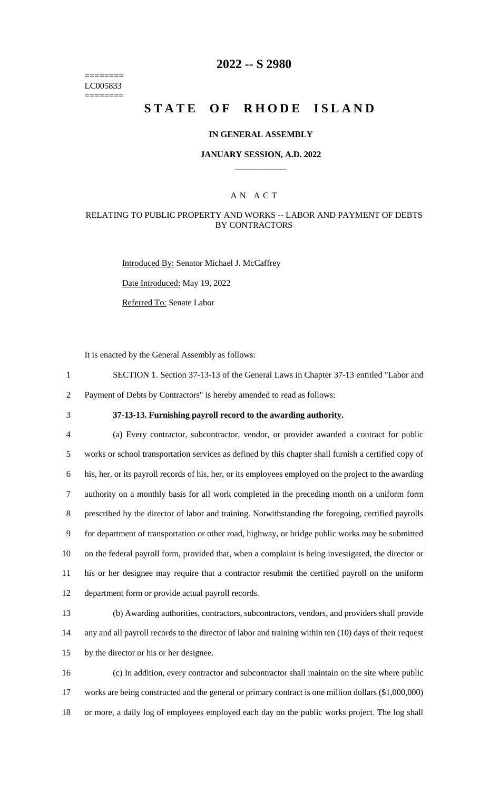======== LC005833 ========

# **2022 -- S 2980**

# **STATE OF RHODE ISLAND**

### **IN GENERAL ASSEMBLY**

### **JANUARY SESSION, A.D. 2022 \_\_\_\_\_\_\_\_\_\_\_\_**

## A N A C T

### RELATING TO PUBLIC PROPERTY AND WORKS -- LABOR AND PAYMENT OF DEBTS BY CONTRACTORS

Introduced By: Senator Michael J. McCaffrey

Date Introduced: May 19, 2022

Referred To: Senate Labor

It is enacted by the General Assembly as follows:

1 SECTION 1. Section 37-13-13 of the General Laws in Chapter 37-13 entitled "Labor and 2 Payment of Debts by Contractors" is hereby amended to read as follows:

# 3 **37-13-13. Furnishing payroll record to the awarding authority.**

 (a) Every contractor, subcontractor, vendor, or provider awarded a contract for public works or school transportation services as defined by this chapter shall furnish a certified copy of his, her, or its payroll records of his, her, or its employees employed on the project to the awarding authority on a monthly basis for all work completed in the preceding month on a uniform form prescribed by the director of labor and training. Notwithstanding the foregoing, certified payrolls for department of transportation or other road, highway, or bridge public works may be submitted on the federal payroll form, provided that, when a complaint is being investigated, the director or his or her designee may require that a contractor resubmit the certified payroll on the uniform department form or provide actual payroll records.

13 (b) Awarding authorities, contractors, subcontractors, vendors, and providers shall provide 14 any and all payroll records to the director of labor and training within ten (10) days of their request 15 by the director or his or her designee.

16 (c) In addition, every contractor and subcontractor shall maintain on the site where public 17 works are being constructed and the general or primary contract is one million dollars (\$1,000,000) 18 or more, a daily log of employees employed each day on the public works project. The log shall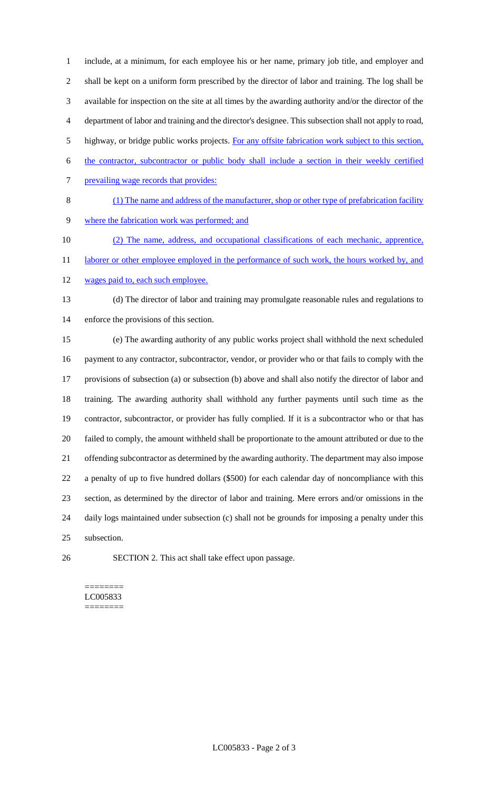include, at a minimum, for each employee his or her name, primary job title, and employer and shall be kept on a uniform form prescribed by the director of labor and training. The log shall be available for inspection on the site at all times by the awarding authority and/or the director of the department of labor and training and the director's designee. This subsection shall not apply to road, highway, or bridge public works projects. For any offsite fabrication work subject to this section, the contractor, subcontractor or public body shall include a section in their weekly certified prevailing wage records that provides: (1) The name and address of the manufacturer, shop or other type of prefabrication facility where the fabrication work was performed; and

(2) The name, address, and occupational classifications of each mechanic, apprentice,

11 laborer or other employee employed in the performance of such work, the hours worked by, and

12 wages paid to, each such employee.

 (d) The director of labor and training may promulgate reasonable rules and regulations to enforce the provisions of this section.

 (e) The awarding authority of any public works project shall withhold the next scheduled payment to any contractor, subcontractor, vendor, or provider who or that fails to comply with the provisions of subsection (a) or subsection (b) above and shall also notify the director of labor and training. The awarding authority shall withhold any further payments until such time as the contractor, subcontractor, or provider has fully complied. If it is a subcontractor who or that has failed to comply, the amount withheld shall be proportionate to the amount attributed or due to the offending subcontractor as determined by the awarding authority. The department may also impose a penalty of up to five hundred dollars (\$500) for each calendar day of noncompliance with this section, as determined by the director of labor and training. Mere errors and/or omissions in the daily logs maintained under subsection (c) shall not be grounds for imposing a penalty under this subsection.

SECTION 2. This act shall take effect upon passage.

#### ======== LC005833 ========